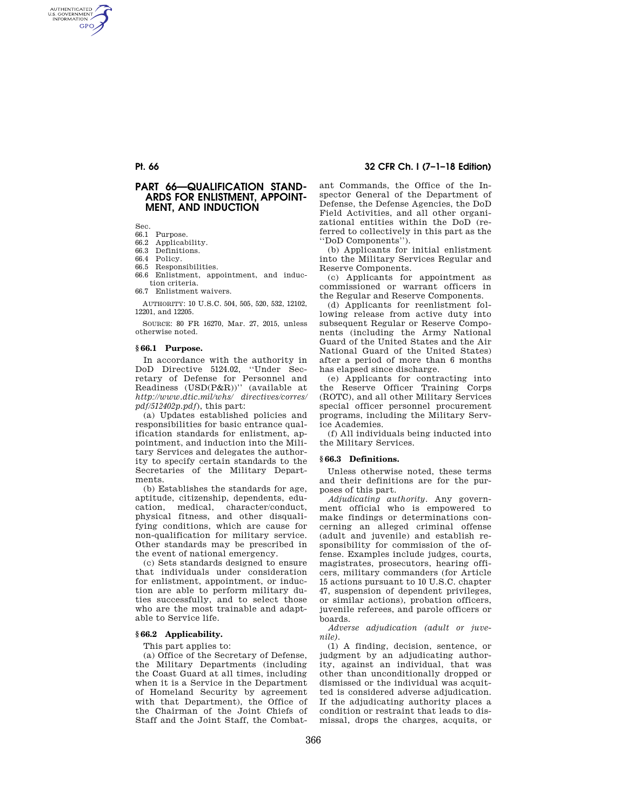AUTHENTICATED<br>U.S. GOVERNMENT<br>INFORMATION **GPO** 

## **PART 66—QUALIFICATION STAND-ARDS FOR ENLISTMENT, APPOINT-MENT, AND INDUCTION**

Sec.

- 66.1 Purpose.
- Applicability.
- 66.3 Definitions.
- 66.4 Policy. 66.5 Responsibilities.
- 66.6 Enlistment, appointment, and induction criteria.
- 66.7 Enlistment waivers.

AUTHORITY: 10 U.S.C. 504, 505, 520, 532, 12102, 12201, and 12205.

SOURCE: 80 FR 16270, Mar. 27, 2015, unless otherwise noted.

## **§ 66.1 Purpose.**

In accordance with the authority in DoD Directive 5124.02, ''Under Secretary of Defense for Personnel and Readiness (USD(P&R))'' (available at *http://www.dtic.mil/whs/ directives/corres/ pdf/512402p.pdf*), this part:

(a) Updates established policies and responsibilities for basic entrance qualification standards for enlistment, appointment, and induction into the Military Services and delegates the authority to specify certain standards to the Secretaries of the Military Departments.

(b) Establishes the standards for age, aptitude, citizenship, dependents, education, medical, character/conduct, physical fitness, and other disqualifying conditions, which are cause for non-qualification for military service. Other standards may be prescribed in the event of national emergency.

(c) Sets standards designed to ensure that individuals under consideration for enlistment, appointment, or induction are able to perform military duties successfully, and to select those who are the most trainable and adaptable to Service life.

### **§ 66.2 Applicability.**

This part applies to:

(a) Office of the Secretary of Defense, the Military Departments (including the Coast Guard at all times, including when it is a Service in the Department of Homeland Security by agreement with that Department), the Office of the Chairman of the Joint Chiefs of Staff and the Joint Staff, the Combat-

## **Pt. 66 32 CFR Ch. I (7–1–18 Edition)**

ant Commands, the Office of the Inspector General of the Department of Defense, the Defense Agencies, the DoD Field Activities, and all other organizational entities within the DoD (referred to collectively in this part as the ''DoD Components'').

(b) Applicants for initial enlistment into the Military Services Regular and Reserve Components.

(c) Applicants for appointment as commissioned or warrant officers in the Regular and Reserve Components.

(d) Applicants for reenlistment following release from active duty into subsequent Regular or Reserve Components (including the Army National Guard of the United States and the Air National Guard of the United States) after a period of more than 6 months has elapsed since discharge.

(e) Applicants for contracting into the Reserve Officer Training Corps (ROTC), and all other Military Services special officer personnel procurement programs, including the Military Service Academies.

(f) All individuals being inducted into the Military Services.

### **§ 66.3 Definitions.**

Unless otherwise noted, these terms and their definitions are for the purposes of this part.

*Adjudicating authority.* Any government official who is empowered to make findings or determinations concerning an alleged criminal offense (adult and juvenile) and establish responsibility for commission of the offense. Examples include judges, courts, magistrates, prosecutors, hearing officers, military commanders (for Article 15 actions pursuant to 10 U.S.C. chapter 47, suspension of dependent privileges, or similar actions), probation officers, juvenile referees, and parole officers or boards.

*Adverse adjudication (adult or juvenile).* 

(1) A finding, decision, sentence, or judgment by an adjudicating authority, against an individual, that was other than unconditionally dropped or dismissed or the individual was acquitted is considered adverse adjudication. If the adjudicating authority places a condition or restraint that leads to dismissal, drops the charges, acquits, or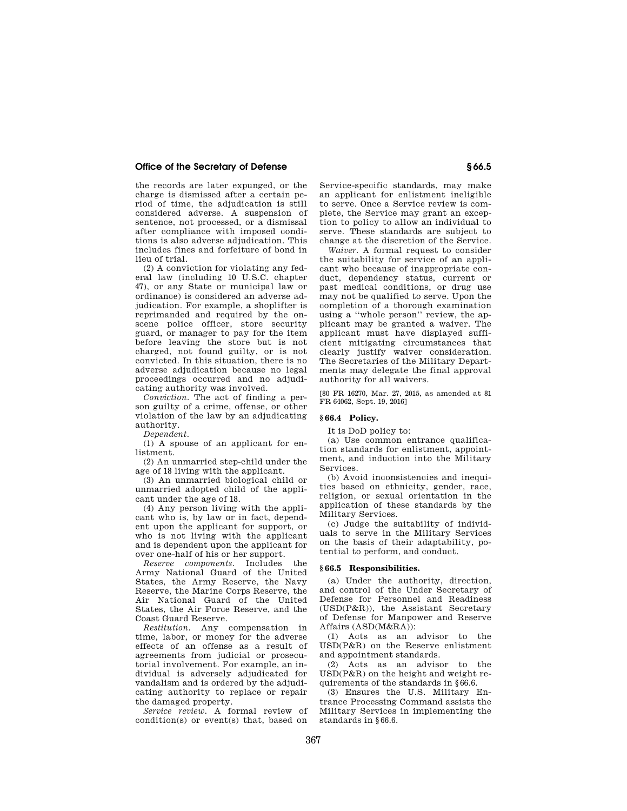## **Office of the Secretary of Defense § 66.5**

the records are later expunged, or the charge is dismissed after a certain period of time, the adjudication is still considered adverse. A suspension of sentence, not processed, or a dismissal after compliance with imposed conditions is also adverse adjudication. This includes fines and forfeiture of bond in lieu of trial.

(2) A conviction for violating any federal law (including 10 U.S.C. chapter 47), or any State or municipal law or ordinance) is considered an adverse adjudication. For example, a shoplifter is reprimanded and required by the onscene police officer, store security guard, or manager to pay for the item before leaving the store but is not charged, not found guilty, or is not convicted. In this situation, there is no adverse adjudication because no legal proceedings occurred and no adjudicating authority was involved.

*Conviction.* The act of finding a person guilty of a crime, offense, or other violation of the law by an adjudicating authority.

*Dependent.* 

(1) A spouse of an applicant for enlistment.

(2) An unmarried step-child under the age of 18 living with the applicant.

(3) An unmarried biological child or unmarried adopted child of the applicant under the age of 18.

(4) Any person living with the applicant who is, by law or in fact, dependent upon the applicant for support, or who is not living with the applicant and is dependent upon the applicant for over one-half of his or her support.

*Reserve components.* Includes the Army National Guard of the United States, the Army Reserve, the Navy Reserve, the Marine Corps Reserve, the Air National Guard of the United States, the Air Force Reserve, and the Coast Guard Reserve.

*Restitution.* Any compensation in time, labor, or money for the adverse effects of an offense as a result of agreements from judicial or prosecutorial involvement. For example, an individual is adversely adjudicated for vandalism and is ordered by the adjudicating authority to replace or repair the damaged property.

*Service review.* A formal review of condition(s) or event(s) that, based on

Service-specific standards, may make an applicant for enlistment ineligible to serve. Once a Service review is complete, the Service may grant an exception to policy to allow an individual to serve. These standards are subject to change at the discretion of the Service.

*Waiver.* A formal request to consider the suitability for service of an applicant who because of inappropriate conduct, dependency status, current or past medical conditions, or drug use may not be qualified to serve. Upon the completion of a thorough examination using a ''whole person'' review, the applicant may be granted a waiver. The applicant must have displayed sufficient mitigating circumstances that clearly justify waiver consideration. The Secretaries of the Military Departments may delegate the final approval authority for all waivers.

[80 FR 16270, Mar. 27, 2015, as amended at 81 FR 64062, Sept. 19, 2016]

### **§ 66.4 Policy.**

It is DoD policy to:

(a) Use common entrance qualification standards for enlistment, appointment, and induction into the Military Services.

(b) Avoid inconsistencies and inequities based on ethnicity, gender, race, religion, or sexual orientation in the application of these standards by the Military Services.

(c) Judge the suitability of individuals to serve in the Military Services on the basis of their adaptability, potential to perform, and conduct.

### **§ 66.5 Responsibilities.**

(a) Under the authority, direction, and control of the Under Secretary of Defense for Personnel and Readiness (USD(P&R)), the Assistant Secretary of Defense for Manpower and Reserve Affairs (ASD(M&RA)):

(1) Acts as an advisor to the USD(P&R) on the Reserve enlistment and appointment standards.

(2) Acts as an advisor to the USD(P&R) on the height and weight requirements of the standards in §66.6.

(3) Ensures the U.S. Military Entrance Processing Command assists the Military Services in implementing the standards in §66.6.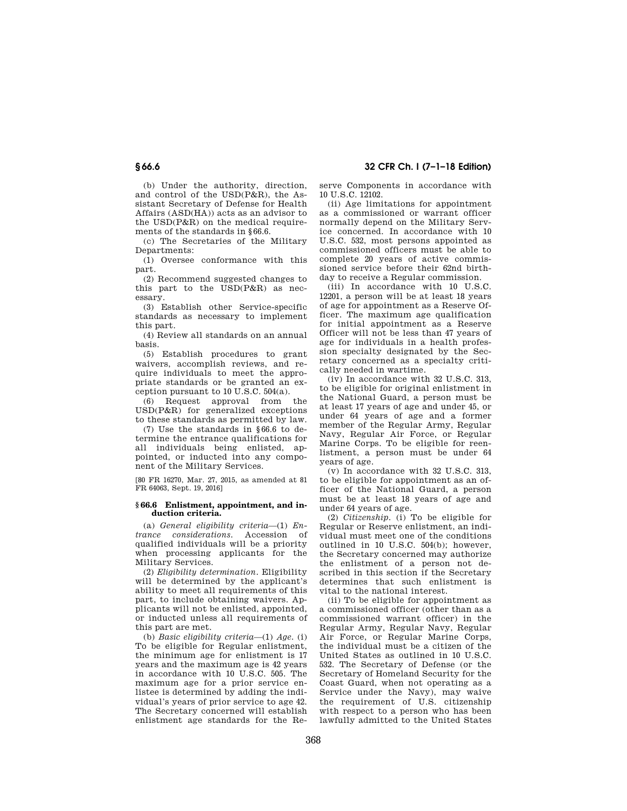(b) Under the authority, direction, and control of the USD(P&R), the Assistant Secretary of Defense for Health Affairs (ASD(HA)) acts as an advisor to the  $\text{USD}(\text{P&R})$  on the medical requirements of the standards in §66.6.

(c) The Secretaries of the Military Departments:

(1) Oversee conformance with this part.

(2) Recommend suggested changes to this part to the USD(P&R) as necessary.

(3) Establish other Service-specific standards as necessary to implement this part.

(4) Review all standards on an annual basis.

(5) Establish procedures to grant waivers, accomplish reviews, and require individuals to meet the appropriate standards or be granted an exception pursuant to 10 U.S.C. 504(a).

(6) Request approval from the USD(P&R) for generalized exceptions to these standards as permitted by law.

(7) Use the standards in §66.6 to determine the entrance qualifications for all individuals being enlisted, appointed, or inducted into any component of the Military Services.

[80 FR 16270, Mar. 27, 2015, as amended at 81 FR 64063, Sept. 19, 2016]

### **§ 66.6 Enlistment, appointment, and induction criteria.**

(a) *General eligibility criteria*—(1) *Entrance considerations.* Accession of qualified individuals will be a priority when processing applicants for the Military Services.

(2) *Eligibility determination.* Eligibility will be determined by the applicant's ability to meet all requirements of this part, to include obtaining waivers. Applicants will not be enlisted, appointed, or inducted unless all requirements of this part are met.

(b) *Basic eligibility criteria*—(1) *Age.* (i) To be eligible for Regular enlistment, the minimum age for enlistment is 17 years and the maximum age is 42 years in accordance with 10 U.S.C. 505. The maximum age for a prior service enlistee is determined by adding the individual's years of prior service to age 42. The Secretary concerned will establish enlistment age standards for the Reserve Components in accordance with 10 U.S.C. 12102.

(ii) Age limitations for appointment as a commissioned or warrant officer normally depend on the Military Service concerned. In accordance with 10 U.S.C. 532, most persons appointed as commissioned officers must be able to complete 20 years of active commissioned service before their 62nd birthday to receive a Regular commission.

(iii) In accordance with 10 U.S.C. 12201, a person will be at least 18 years of age for appointment as a Reserve Officer. The maximum age qualification for initial appointment as a Reserve Officer will not be less than 47 years of age for individuals in a health profession specialty designated by the Secretary concerned as a specialty critically needed in wartime.

(iv) In accordance with 32 U.S.C. 313, to be eligible for original enlistment in the National Guard, a person must be at least 17 years of age and under 45, or under 64 years of age and a former member of the Regular Army, Regular Navy, Regular Air Force, or Regular Marine Corps. To be eligible for reenlistment, a person must be under 64 years of age.

(v) In accordance with 32 U.S.C. 313, to be eligible for appointment as an officer of the National Guard, a person must be at least 18 years of age and under 64 years of age.

(2) *Citizenship.* (i) To be eligible for Regular or Reserve enlistment, an individual must meet one of the conditions outlined in 10 U.S.C. 504(b); however, the Secretary concerned may authorize the enlistment of a person not described in this section if the Secretary determines that such enlistment is vital to the national interest.

(ii) To be eligible for appointment as a commissioned officer (other than as a commissioned warrant officer) in the Regular Army, Regular Navy, Regular Air Force, or Regular Marine Corps, the individual must be a citizen of the United States as outlined in 10 U.S.C. 532. The Secretary of Defense (or the Secretary of Homeland Security for the Coast Guard, when not operating as a Service under the Navy), may waive the requirement of U.S. citizenship with respect to a person who has been lawfully admitted to the United States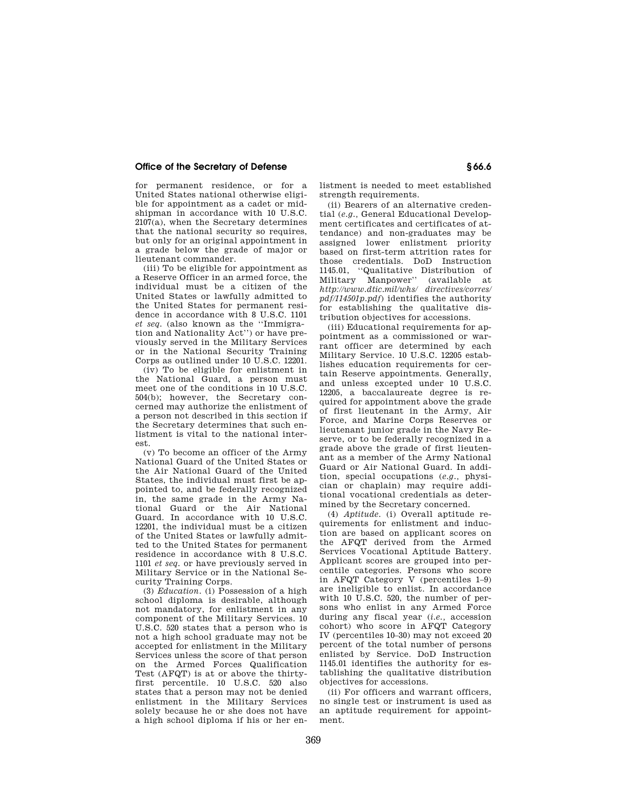## **Office of the Secretary of Defense § 66.6**

for permanent residence, or for a United States national otherwise eligible for appointment as a cadet or midshipman in accordance with 10 U.S.C.  $210\sqrt{7}$ (a), when the Secretary determines that the national security so requires, but only for an original appointment in a grade below the grade of major or lieutenant commander.

(iii) To be eligible for appointment as a Reserve Officer in an armed force, the individual must be a citizen of the United States or lawfully admitted to the United States for permanent residence in accordance with 8 U.S.C. 1101 *et seq.* (also known as the ''Immigration and Nationality Act'') or have previously served in the Military Services or in the National Security Training Corps as outlined under 10 U.S.C. 12201.

(iv) To be eligible for enlistment in the National Guard, a person must meet one of the conditions in 10 U.S.C. 504(b); however, the Secretary concerned may authorize the enlistment of a person not described in this section if the Secretary determines that such enlistment is vital to the national interest.

(v) To become an officer of the Army National Guard of the United States or the Air National Guard of the United States, the individual must first be appointed to, and be federally recognized in, the same grade in the Army National Guard or the Air National Guard. In accordance with 10 U.S.C. 12201, the individual must be a citizen of the United States or lawfully admitted to the United States for permanent residence in accordance with 8 U.S.C. 1101 *et seq.* or have previously served in Military Service or in the National Security Training Corps.

(3) *Education.* (i) Possession of a high school diploma is desirable, although not mandatory, for enlistment in any component of the Military Services. 10 U.S.C. 520 states that a person who is not a high school graduate may not be accepted for enlistment in the Military Services unless the score of that person on the Armed Forces Qualification Test (AFQT) is at or above the thirtyfirst percentile. 10 U.S.C. 520 also states that a person may not be denied enlistment in the Military Services solely because he or she does not have a high school diploma if his or her enlistment is needed to meet established strength requirements.

(ii) Bearers of an alternative credential (*e.g.,* General Educational Development certificates and certificates of attendance) and non-graduates may be assigned lower enlistment priority based on first-term attrition rates for those credentials. DoD Instruction 1145.01, ''Qualitative Distribution of Military Manpower'' (available at *http://www.dtic.mil/whs/ directives/corres/ pdf/114501p.pdf*) identifies the authority for establishing the qualitative distribution objectives for accessions.

(iii) Educational requirements for appointment as a commissioned or warrant officer are determined by each Military Service. 10 U.S.C. 12205 establishes education requirements for certain Reserve appointments. Generally, and unless excepted under 10 U.S.C. 12205, a baccalaureate degree is required for appointment above the grade of first lieutenant in the Army, Air Force, and Marine Corps Reserves or lieutenant junior grade in the Navy Reserve, or to be federally recognized in a grade above the grade of first lieutenant as a member of the Army National Guard or Air National Guard. In addition, special occupations (*e.g.,* physician or chaplain) may require additional vocational credentials as determined by the Secretary concerned.

(4) *Aptitude.* (i) Overall aptitude requirements for enlistment and induction are based on applicant scores on the AFQT derived from the Armed Services Vocational Aptitude Battery. Applicant scores are grouped into percentile categories. Persons who score in AFQT Category V (percentiles 1–9) are ineligible to enlist. In accordance with 10 U.S.C. 520, the number of persons who enlist in any Armed Force during any fiscal year (*i.e.,* accession cohort) who score in AFQT Category IV (percentiles 10–30) may not exceed 20 percent of the total number of persons enlisted by Service. DoD Instruction 1145.01 identifies the authority for establishing the qualitative distribution objectives for accessions.

(ii) For officers and warrant officers, no single test or instrument is used as an aptitude requirement for appointment.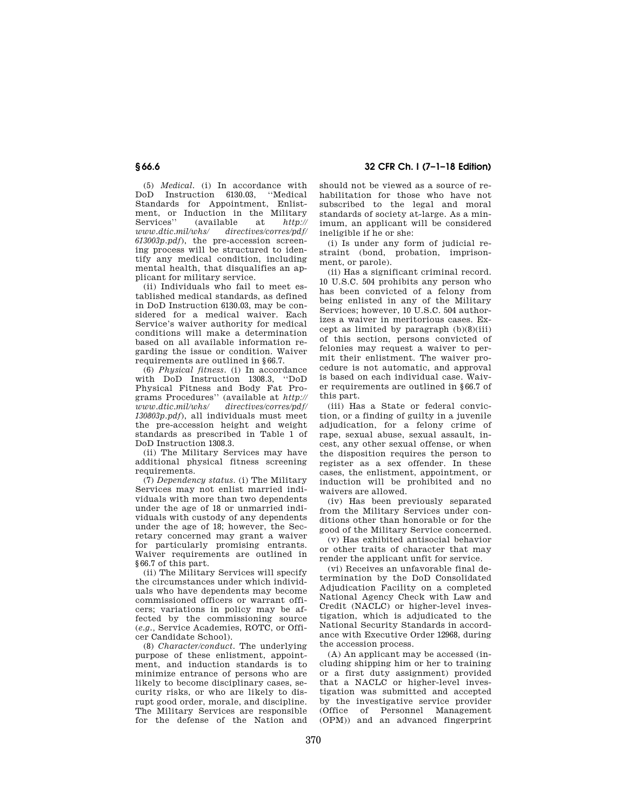## **§ 66.6 32 CFR Ch. I (7–1–18 Edition)**

(5) *Medical.* (i) In accordance with DoD Instruction 6130.03, ''Medical Standards for Appointment, Enlistment, or Induction in the Military<br>Services'' (available at *http://* Services'' (available at *http:// www.dtic.mil/whs/ directives/corres/pdf/ 613003p.pdf*), the pre-accession screening process will be structured to identify any medical condition, including mental health, that disqualifies an applicant for military service.

(ii) Individuals who fail to meet established medical standards, as defined in DoD Instruction 6130.03, may be considered for a medical waiver. Each Service's waiver authority for medical conditions will make a determination based on all available information regarding the issue or condition. Waiver requirements are outlined in §66.7.

(6) *Physical fitness.* (i) In accordance with DoD Instruction 1308.3, ''DoD Physical Fitness and Body Fat Programs Procedures'' (available at *http://*   $directives/corres/pdf/$ *130803p.pdf*), all individuals must meet the pre-accession height and weight standards as prescribed in Table 1 of DoD Instruction 1308.3.

(ii) The Military Services may have additional physical fitness screening requirements.

(7) *Dependency status.* (i) The Military Services may not enlist married individuals with more than two dependents under the age of 18 or unmarried individuals with custody of any dependents under the age of 18; however, the Secretary concerned may grant a waiver for particularly promising entrants. Waiver requirements are outlined in §66.7 of this part.

(ii) The Military Services will specify the circumstances under which individuals who have dependents may become commissioned officers or warrant officers; variations in policy may be affected by the commissioning source (*e.g.,* Service Academies, ROTC, or Officer Candidate School).

(8) *Character/conduct.* The underlying purpose of these enlistment, appointment, and induction standards is to minimize entrance of persons who are likely to become disciplinary cases, security risks, or who are likely to disrupt good order, morale, and discipline. The Military Services are responsible for the defense of the Nation and

should not be viewed as a source of rehabilitation for those who have not subscribed to the legal and moral standards of society at-large. As a minimum, an applicant will be considered ineligible if he or she:

(i) Is under any form of judicial restraint (bond, probation, imprisonment, or parole).

(ii) Has a significant criminal record. 10 U.S.C. 504 prohibits any person who has been convicted of a felony from being enlisted in any of the Military Services; however, 10 U.S.C. 504 authorizes a waiver in meritorious cases. Except as limited by paragraph  $(b)(8)(iii)$ of this section, persons convicted of felonies may request a waiver to permit their enlistment. The waiver procedure is not automatic, and approval is based on each individual case. Waiver requirements are outlined in §66.7 of this part.

(iii) Has a State or federal conviction, or a finding of guilty in a juvenile adjudication, for a felony crime of rape, sexual abuse, sexual assault, incest, any other sexual offense, or when the disposition requires the person to register as a sex offender. In these cases, the enlistment, appointment, or induction will be prohibited and no waivers are allowed.

(iv) Has been previously separated from the Military Services under conditions other than honorable or for the good of the Military Service concerned.

(v) Has exhibited antisocial behavior or other traits of character that may render the applicant unfit for service.

(vi) Receives an unfavorable final determination by the DoD Consolidated Adjudication Facility on a completed National Agency Check with Law and Credit (NACLC) or higher-level investigation, which is adjudicated to the National Security Standards in accordance with Executive Order 12968, during the accession process.

(A) An applicant may be accessed (including shipping him or her to training or a first duty assignment) provided that a NACLC or higher-level investigation was submitted and accepted by the investigative service provider (Office of Personnel Management (OPM)) and an advanced fingerprint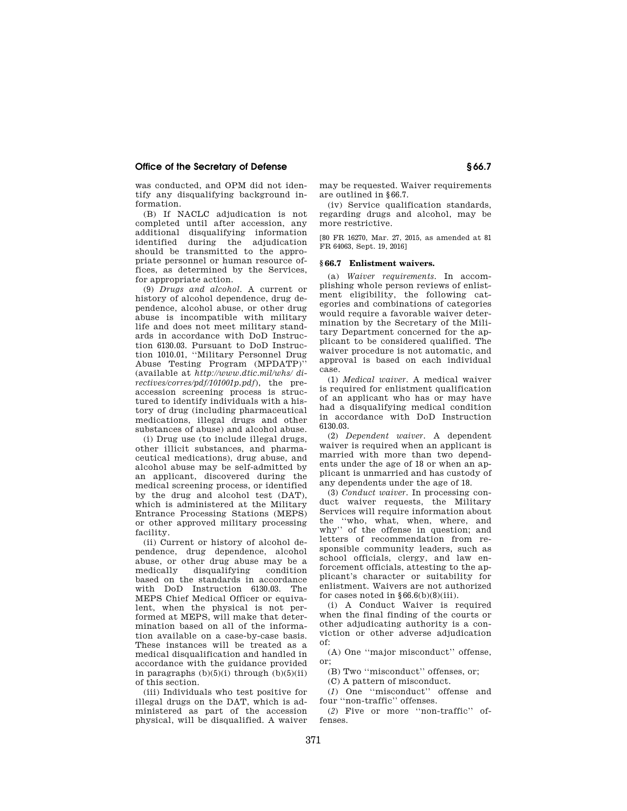## **Office of the Secretary of Defense § 66.7**

was conducted, and OPM did not identify any disqualifying background information.

(B) If NACLC adjudication is not completed until after accession, any additional disqualifying information identified during the adjudication should be transmitted to the appropriate personnel or human resource offices, as determined by the Services, for appropriate action.

(9) *Drugs and alcohol.* A current or history of alcohol dependence, drug dependence, alcohol abuse, or other drug abuse is incompatible with military life and does not meet military standards in accordance with DoD Instruction 6130.03. Pursuant to DoD Instruction 1010.01, ''Military Personnel Drug Abuse Testing Program (MPDATP)'' (available at *http://www.dtic.mil/whs/ directives/corres/pdf/101001p.pdf*), the preaccession screening process is structured to identify individuals with a history of drug (including pharmaceutical medications, illegal drugs and other substances of abuse) and alcohol abuse.

(i) Drug use (to include illegal drugs, other illicit substances, and pharmaceutical medications), drug abuse, and alcohol abuse may be self-admitted by an applicant, discovered during the medical screening process, or identified by the drug and alcohol test (DAT), which is administered at the Military Entrance Processing Stations (MEPS) or other approved military processing facility.

(ii) Current or history of alcohol dependence, drug dependence, alcohol abuse, or other drug abuse may be a medically disqualifying condition based on the standards in accordance with DoD Instruction 6130.03. The MEPS Chief Medical Officer or equivalent, when the physical is not performed at MEPS, will make that determination based on all of the information available on a case-by-case basis. These instances will be treated as a medical disqualification and handled in accordance with the guidance provided in paragraphs  $(b)(5)(i)$  through  $(b)(5)(ii)$ of this section.

(iii) Individuals who test positive for illegal drugs on the DAT, which is administered as part of the accession physical, will be disqualified. A waiver may be requested. Waiver requirements are outlined in §66.7.

(iv) Service qualification standards, regarding drugs and alcohol, may be more restrictive.

[80 FR 16270, Mar. 27, 2015, as amended at 81 FR 64063, Sept. 19, 2016]

## **§ 66.7 Enlistment waivers.**

(a) *Waiver requirements.* In accomplishing whole person reviews of enlistment eligibility, the following categories and combinations of categories would require a favorable waiver determination by the Secretary of the Military Department concerned for the applicant to be considered qualified. The waiver procedure is not automatic, and approval is based on each individual case.

(1) *Medical waiver.* A medical waiver is required for enlistment qualification of an applicant who has or may have had a disqualifying medical condition in accordance with DoD Instruction 6130.03.

(2) *Dependent waiver.* A dependent waiver is required when an applicant is married with more than two dependents under the age of 18 or when an applicant is unmarried and has custody of any dependents under the age of 18.

(3) *Conduct waiver.* In processing conduct waiver requests, the Military Services will require information about the ''who, what, when, where, and why'' of the offense in question; and letters of recommendation from responsible community leaders, such as school officials, clergy, and law enforcement officials, attesting to the applicant's character or suitability for enlistment. Waivers are not authorized for cases noted in  $§66.6(b)(8)(iii)$ .

(i) A Conduct Waiver is required when the final finding of the courts or other adjudicating authority is a conviction or other adverse adjudication of:

(A) One ''major misconduct'' offense, or;

(B) Two ''misconduct'' offenses, or;

(C) A pattern of misconduct.

(*1*) One ''misconduct'' offense and four ''non-traffic'' offenses.

(*2*) Five or more ''non-traffic'' offenses.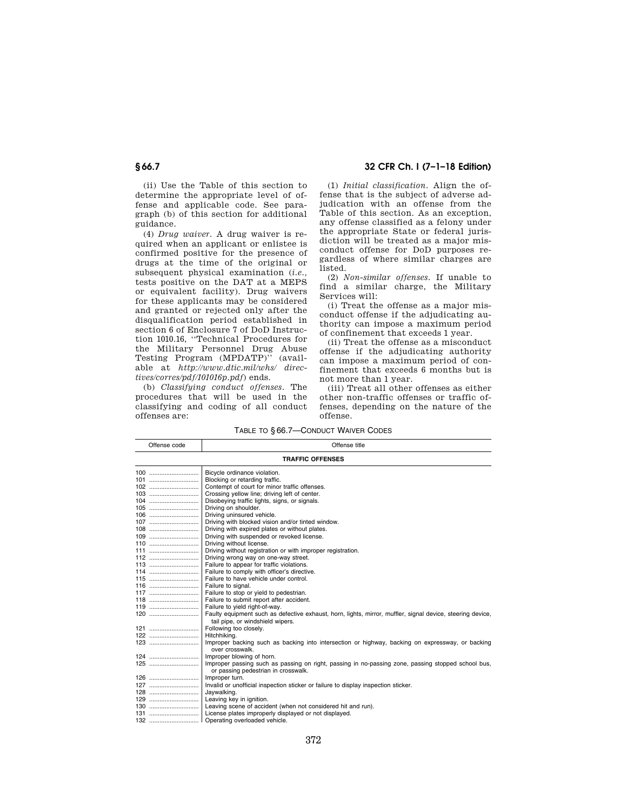(ii) Use the Table of this section to determine the appropriate level of offense and applicable code. See paragraph (b) of this section for additional guidance.

(4) *Drug waiver.* A drug waiver is required when an applicant or enlistee is confirmed positive for the presence of drugs at the time of the original or subsequent physical examination (*i.e.,*  tests positive on the DAT at a MEPS or equivalent facility). Drug waivers for these applicants may be considered and granted or rejected only after the disqualification period established in section 6 of Enclosure 7 of DoD Instruction 1010.16, ''Technical Procedures for the Military Personnel Drug Abuse Testing Program (MPDATP)'' (available at *http://www.dtic.mil/whs/ directives/corres/pdf/101016p.pdf*) ends.

(b) *Classifying conduct offenses.* The procedures that will be used in the classifying and coding of all conduct offenses are:

**§ 66.7 32 CFR Ch. I (7–1–18 Edition)** 

(1) *Initial classification.* Align the offense that is the subject of adverse adjudication with an offense from the Table of this section. As an exception, any offense classified as a felony under the appropriate State or federal jurisdiction will be treated as a major misconduct offense for DoD purposes regardless of where similar charges are listed.

(2) *Non-similar offenses.* If unable to find a similar charge, the Military Services will:

(i) Treat the offense as a major misconduct offense if the adjudicating authority can impose a maximum period of confinement that exceeds 1 year.

(ii) Treat the offense as a misconduct offense if the adjudicating authority can impose a maximum period of confinement that exceeds 6 months but is not more than 1 year.

(iii) Treat all other offenses as either other non-traffic offenses or traffic offenses, depending on the nature of the offense.

TABLE TO § 66.7—CONDUCT WAIVER CODES

|                         | Offense code | Offense title                                                                                                                                  |  |  |
|-------------------------|--------------|------------------------------------------------------------------------------------------------------------------------------------------------|--|--|
| <b>TRAFFIC OFFENSES</b> |              |                                                                                                                                                |  |  |
|                         |              | Bicycle ordinance violation.                                                                                                                   |  |  |
|                         | 101          | Blocking or retarding traffic.                                                                                                                 |  |  |
|                         |              | Contempt of court for minor traffic offenses.                                                                                                  |  |  |
|                         |              | Crossing yellow line; driving left of center.                                                                                                  |  |  |
|                         |              | Disobeying traffic lights, signs, or signals.                                                                                                  |  |  |
|                         | $105$        | Driving on shoulder.                                                                                                                           |  |  |
|                         |              | Driving uninsured vehicle.                                                                                                                     |  |  |
|                         | $107$        | Driving with blocked vision and/or tinted window.                                                                                              |  |  |
|                         |              | Driving with expired plates or without plates.                                                                                                 |  |  |
|                         |              | Driving with suspended or revoked license.                                                                                                     |  |  |
|                         | 110          | Driving without license.                                                                                                                       |  |  |
|                         | 111          | Driving without registration or with improper registration.                                                                                    |  |  |
|                         | 112          | Driving wrong way on one-way street.                                                                                                           |  |  |
|                         | 113          | Failure to appear for traffic violations.                                                                                                      |  |  |
|                         | 114          | Failure to comply with officer's directive.                                                                                                    |  |  |
|                         | $115$        | Failure to have vehicle under control.                                                                                                         |  |  |
|                         | 116          | Failure to signal.                                                                                                                             |  |  |
|                         | 117          | Failure to stop or yield to pedestrian.                                                                                                        |  |  |
|                         | $118$        | Failure to submit report after accident.                                                                                                       |  |  |
|                         | 119          | Failure to yield right-of-way.                                                                                                                 |  |  |
|                         | 120          | Faulty equipment such as defective exhaust, horn, lights, mirror, muffler, signal device, steering device,<br>tail pipe, or windshield wipers. |  |  |
|                         | 121          | Following too closely.                                                                                                                         |  |  |
|                         | 122          | Hitchhiking.                                                                                                                                   |  |  |
|                         |              | Improper backing such as backing into intersection or highway, backing on expressway, or backing<br>over crosswalk.                            |  |  |
|                         |              | Improper blowing of horn.                                                                                                                      |  |  |
|                         |              | Improper passing such as passing on right, passing in no-passing zone, passing stopped school bus,<br>or passing pedestrian in crosswalk.      |  |  |
|                         | 126          | Improper turn.                                                                                                                                 |  |  |
|                         | 127          | Invalid or unofficial inspection sticker or failure to display inspection sticker.                                                             |  |  |
|                         | 128          | Jaywalking.                                                                                                                                    |  |  |
|                         | 129          | Leaving key in ignition.                                                                                                                       |  |  |
|                         |              | Leaving scene of accident (when not considered hit and run).                                                                                   |  |  |
|                         | 131          | License plates improperly displayed or not displayed.                                                                                          |  |  |
|                         |              | Operating overloaded vehicle.                                                                                                                  |  |  |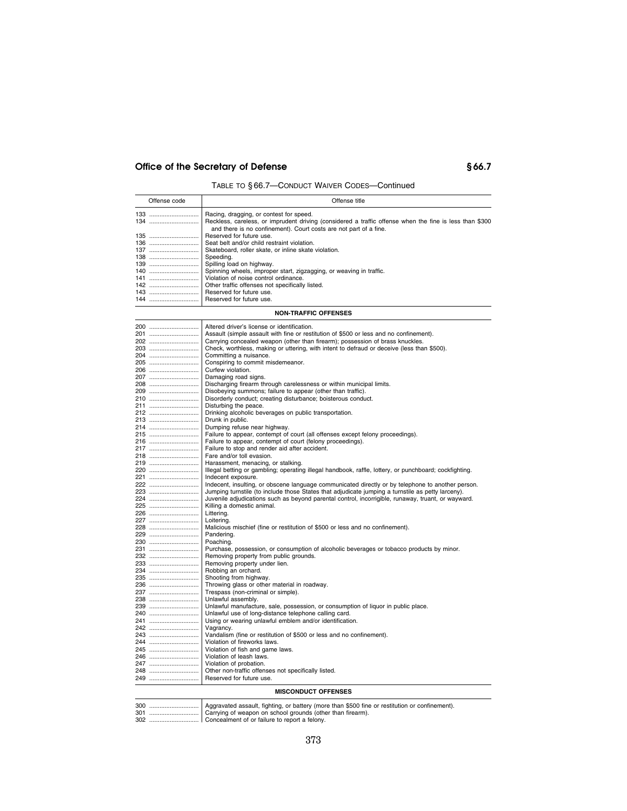# Office of the Secretary of Defense **66.7**

TABLE TO § 66.7—CONDUCT WAIVER CODES—Continued

| Offense code          | Offense title                                                                                                                                                                |
|-----------------------|------------------------------------------------------------------------------------------------------------------------------------------------------------------------------|
| 133                   | Racing, dragging, or contest for speed.                                                                                                                                      |
| 134                   | Reckless, careless, or imprudent driving (considered a traffic offense when the fine is less than \$300<br>and there is no confinement). Court costs are not part of a fine. |
| 135                   | Reserved for future use.                                                                                                                                                     |
|                       | Seat belt and/or child restraint violation.                                                                                                                                  |
|                       | Skateboard, roller skate, or inline skate violation.                                                                                                                         |
| 138                   | Speeding.                                                                                                                                                                    |
|                       | Spilling load on highway.                                                                                                                                                    |
|                       | Spinning wheels, improper start, zigzagging, or weaving in traffic.                                                                                                          |
| <b>141</b> ………………………… | Violation of noise control ordinance.                                                                                                                                        |
|                       | Other traffic offenses not specifically listed.                                                                                                                              |
|                       | Reserved for future use.                                                                                                                                                     |
|                       | 144    Reserved for future use.                                                                                                                                              |

## **NON-TRAFFIC OFFENSES**

|     | Reserved for future use.                                                                               |
|-----|--------------------------------------------------------------------------------------------------------|
|     |                                                                                                        |
|     | Other non-traffic offenses not specifically listed.                                                    |
|     | 247    Violation of probation.                                                                         |
| 246 | Violation of leash laws.                                                                               |
| 245 | Violation of fish and game laws.                                                                       |
| 244 | Violation of fireworks laws.                                                                           |
| 243 | Vandalism (fine or restitution of \$500 or less and no confinement).                                   |
| 242 | Vagrancy.                                                                                              |
| 241 | Using or wearing unlawful emblem and/or identification.                                                |
| 240 | Unlawful use of long-distance telephone calling card.                                                  |
| 239 | Unlawful manufacture, sale, possession, or consumption of liquor in public place.                      |
| 238 | Unlawful assembly.                                                                                     |
| 237 | Trespass (non-criminal or simple).                                                                     |
| 236 | Throwing glass or other material in roadway.                                                           |
| 235 | Shooting from highway.                                                                                 |
|     | Robbing an orchard.                                                                                    |
| 233 | Removing property under lien.                                                                          |
| 232 | Removing property from public grounds.                                                                 |
| 231 | Purchase, possession, or consumption of alcoholic beverages or tobacco products by minor.              |
|     | Poaching.                                                                                              |
| 229 | Pandering.                                                                                             |
| 228 | Malicious mischief (fine or restitution of \$500 or less and no confinement).                          |
| 227 | Loitering.                                                                                             |
| 226 | Littering.                                                                                             |
| 225 | Killing a domestic animal.                                                                             |
| 224 | Juvenile adjudications such as beyond parental control, incorrigible, runaway, truant, or wayward.     |
| 223 | Jumping turnstile (to include those States that adjudicate jumping a turnstile as petty larceny).      |
| 222 | Indecent, insulting, or obscene language communicated directly or by telephone to another person.      |
| 221 | Indecent exposure.                                                                                     |
| 220 | Illegal betting or gambling; operating illegal handbook, raffle, lottery, or punchboard; cockfighting. |
| 219 | Harassment, menacing, or stalking.                                                                     |
| 218 | Fare and/or toll evasion.                                                                              |
| 217 | Failure to stop and render aid after accident.                                                         |
| 216 | Failure to appear, contempt of court (felony proceedings).                                             |
| 215 | Failure to appear, contempt of court (all offenses except felony proceedings).                         |
| 214 | Dumping refuse near highway.                                                                           |
| 213 | Drunk in public.                                                                                       |
| 212 | Drinking alcoholic beverages on public transportation.                                                 |
| 211 | Disturbing the peace.                                                                                  |
| 210 | Disorderly conduct; creating disturbance; boisterous conduct.                                          |
| 209 | Disobeying summons; failure to appear (other than traffic).                                            |
| 208 | Discharging firearm through carelessness or within municipal limits.                                   |
| 207 | Damaging road signs.                                                                                   |
| 206 | Curfew violation.                                                                                      |
| 205 | Conspiring to commit misdemeanor.                                                                      |
| 204 | Committing a nuisance.                                                                                 |
| 203 | Check, worthless, making or uttering, with intent to defraud or deceive (less than \$500).             |
| 202 | Carrying concealed weapon (other than firearm); possession of brass knuckles.                          |
| 201 | Assault (simple assault with fine or restitution of \$500 or less and no confinement).                 |
| 200 | Altered driver's license or identification.                                                            |

| 300 |                                                      |
|-----|------------------------------------------------------|
| 301 |                                                      |
|     | 302    Concealment of or failure to report a felony. |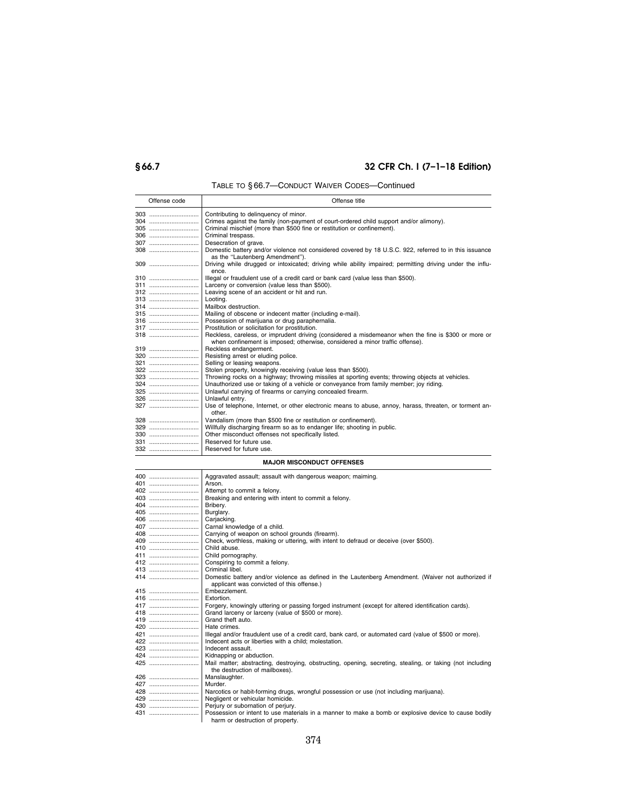# **§ 66.7 32 CFR Ch. I (7–1–18 Edition)**

# TABLE TO § 66.7—CONDUCT WAIVER CODES—Continued

| Offense code | Offense title                                                                                             |
|--------------|-----------------------------------------------------------------------------------------------------------|
|              | Contributing to delinguency of minor.                                                                     |
| 304          | Crimes against the family (non-payment of court-ordered child support and/or alimony).                    |
| 305          | Criminal mischief (more than \$500 fine or restitution or confinement).                                   |
| 306          | Criminal trespass.                                                                                        |
| 307          | Desecration of grave.                                                                                     |
| 308          | Domestic battery and/or violence not considered covered by 18 U.S.C. 922, referred to in this issuance    |
|              | as the "Lautenberg Amendment").                                                                           |
|              | Driving while drugged or intoxicated; driving while ability impaired; permitting driving under the influ- |
|              | ence.                                                                                                     |
| 310          | Illegal or fraudulent use of a credit card or bank card (value less than \$500).                          |
|              | Larceny or conversion (value less than \$500).                                                            |
|              | Leaving scene of an accident or hit and run.                                                              |
|              | Looting.                                                                                                  |
|              | Mailbox destruction.                                                                                      |
|              | Mailing of obscene or indecent matter (including e-mail).                                                 |
|              | Possession of marijuana or drug paraphernalia.                                                            |
| 317          | Prostitution or solicitation for prostitution.                                                            |
| 318          | Reckless, careless, or imprudent driving (considered a misdemeanor when the fine is \$300 or more or      |
|              | when confinement is imposed; otherwise, considered a minor traffic offense).                              |
|              | Reckless endangerment.                                                                                    |
|              | Resisting arrest or eluding police.                                                                       |
|              | Selling or leasing weapons.                                                                               |
|              | Stolen property, knowingly receiving (value less than \$500).                                             |
|              | Throwing rocks on a highway; throwing missiles at sporting events; throwing objects at vehicles.          |
|              | Unauthorized use or taking of a vehicle or conveyance from family member; joy riding.                     |
|              | Unlawful carrying of firearms or carrying concealed firearm.                                              |
|              | Unlawful entry.                                                                                           |
| 327          | Use of telephone, Internet, or other electronic means to abuse, annoy, harass, threaten, or torment an-   |
|              | other.                                                                                                    |
|              | Vandalism (more than \$500 fine or restitution or confinement).                                           |
|              | Willfully discharging firearm so as to endanger life; shooting in public.                                 |
|              | Other misconduct offenses not specifically listed.                                                        |
|              | Reserved for future use.                                                                                  |
|              | 332    Reserved for future use.                                                                           |

## **MAJOR MISCONDUCT OFFENSES**

| 400 | Aggravated assault; assault with dangerous weapon; maiming.                                               |
|-----|-----------------------------------------------------------------------------------------------------------|
| 401 | Arson.                                                                                                    |
| 402 | Attempt to commit a felony.                                                                               |
| 403 | Breaking and entering with intent to commit a felony.                                                     |
| 404 | Bribery.                                                                                                  |
| 405 | Burglary.                                                                                                 |
| 406 | Carjacking.                                                                                               |
| 407 | Carnal knowledge of a child.                                                                              |
|     | Carrying of weapon on school grounds (firearm).                                                           |
|     | Check, worthless, making or uttering, with intent to defraud or deceive (over \$500).                     |
|     | Child abuse.                                                                                              |
|     | Child pornography.                                                                                        |
|     | Conspiring to commit a felony.                                                                            |
| 413 | Criminal libel.                                                                                           |
| 414 | Domestic battery and/or violence as defined in the Lautenberg Amendment. (Waiver not authorized if        |
|     | applicant was convicted of this offense.)                                                                 |
| 415 | Embezzlement.                                                                                             |
|     | Extortion.                                                                                                |
|     | Forgery, knowingly uttering or passing forged instrument (except for altered identification cards).       |
|     | Grand larceny or larceny (value of \$500 or more).                                                        |
| 419 | Grand theft auto.                                                                                         |
| 420 | Hate crimes.                                                                                              |
| 421 | Illegal and/or fraudulent use of a credit card, bank card, or automated card (value of \$500 or more).    |
| 422 | Indecent acts or liberties with a child: molestation.                                                     |
| 423 | Indecent assault.                                                                                         |
| 424 | Kidnapping or abduction.                                                                                  |
| 425 | Mail matter; abstracting, destroying, obstructing, opening, secreting, stealing, or taking (not including |
|     | the destruction of mailboxes).                                                                            |
|     | Manslaughter.                                                                                             |
| 427 | Murder.                                                                                                   |
| 428 | Narcotics or habit-forming drugs, wrongful possession or use (not including marijuana).                   |
| 429 | Negligent or vehicular homicide.                                                                          |
| 430 | Perjury or subornation of perjury.                                                                        |
| 431 | Possession or intent to use materials in a manner to make a bomb or explosive device to cause bodily      |
|     | harm or destruction of property.                                                                          |